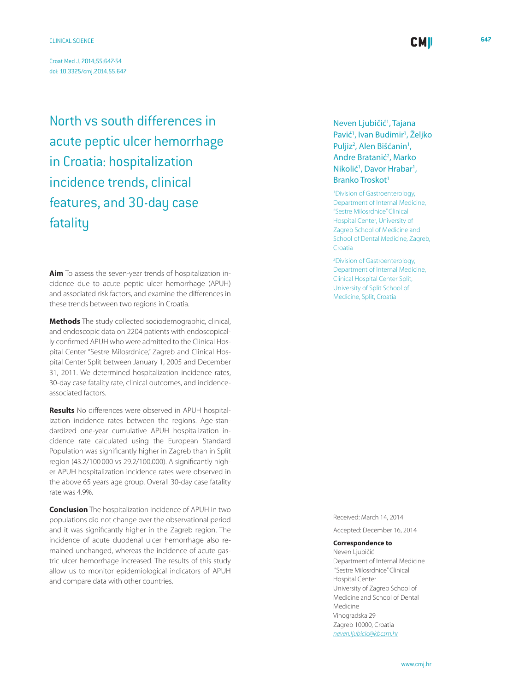Croat Med J. 2014;55:647-54 [doi: 10.3325/cmj.2014.55.647](http://dx.doi.org/10.3325/cmj.2014.55.647)

North vs south differences in acute peptic ulcer hemorrhage in Croatia: hospitalization incidence trends, clinical features, and 30-day case fatality

**Aim** To assess the seven-year trends of hospitalization incidence due to acute peptic ulcer hemorrhage (APUH) and associated risk factors, and examine the differences in these trends between two regions in Croatia.

**Methods** The study collected sociodemographic, clinical, and endoscopic data on 2204 patients with endoscopically confirmed APUH who were admitted to the Clinical Hospital Center "Sestre Milosrdnice," Zagreb and Clinical Hospital Center Split between January 1, 2005 and December 31, 2011. We determined hospitalization incidence rates, 30-day case fatality rate, clinical outcomes, and incidenceassociated factors.

**Results** No differences were observed in APUH hospitalization incidence rates between the regions. Age-standardized one-year cumulative APUH hospitalization incidence rate calculated using the European Standard Population was significantly higher in Zagreb than in Split region (43.2/100 000 vs 29.2/100,000). A significantly higher APUH hospitalization incidence rates were observed in the above 65 years age group. Overall 30-day case fatality rate was 4.9%.

**Conclusion** The hospitalization incidence of APUH in two populations did not change over the observational period and it was significantly higher in the Zagreb region. The incidence of acute duodenal ulcer hemorrhage also remained unchanged, whereas the incidence of acute gastric ulcer hemorrhage increased. The results of this study allow us to monitor epidemiological indicators of APUH and compare data with other countries.

Neven Ljubičić<sup>1</sup>, Tajana Pavić<sup>1</sup>, Ivan Budimir<sup>1</sup>, Željko Puljiz<sup>2</sup>, Alen Bišćanin<sup>1</sup>, Andre Bratanić<sup>2</sup>, Marko Nikolić<sup>1</sup>, Davor Hrabar<sup>1</sup>, Branko Troskot<sup>1</sup>

**CMI** 

1 Division of Gastroenterology, Department of Internal Medicine, "Sestre Milosrdnice" Clinical Hospital Center, University of Zagreb School of Medicine and School of Dental Medicine, Zagreb, Croatia

2 Division of Gastroenterology, Department of Internal Medicine, Clinical Hospital Center Split, University of Split School of Medicine, Split, Croatia

Received: March 14, 2014

Accepted: December 16, 2014

# **Correspondence to**

Neven Ljubičić Department of Internal Medicine "Sestre Milosrdnice" Clinical Hospital Center University of Zagreb School of Medicine and School of Dental Medicine Vinogradska 29 Zagreb 10000, Croatia *[neven.ljubicic@kbcsm.hr](mailto: neven.ljubicic@kbcsm.hr)*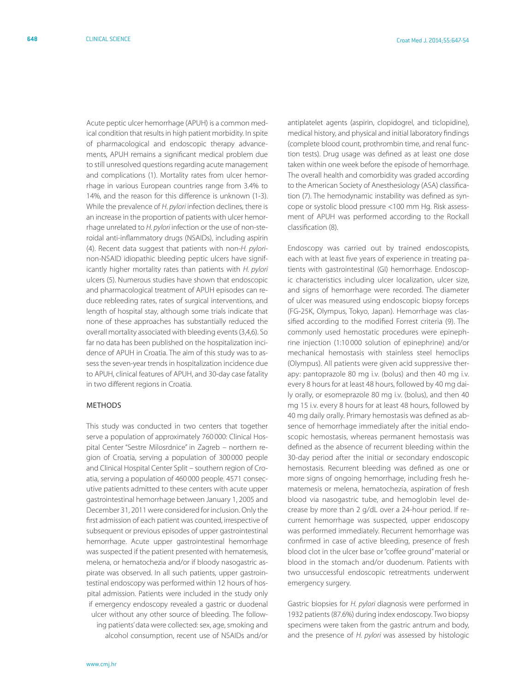Acute peptic ulcer hemorrhage (APUH) is a common medical condition that results in high patient morbidity. In spite of pharmacological and endoscopic therapy advancements, APUH remains a significant medical problem due to still unresolved questions regarding acute management and complications (1). Mortality rates from ulcer hemorrhage in various European countries range from 3.4% to 14%, and the reason for this difference is unknown (1-3). While the prevalence of *H. pylori* infection declines, there is an increase in the proportion of patients with ulcer hemorrhage unrelated to *H. pylori* infection or the use of non-steroidal anti-inflammatory drugs (NSAIDs), including aspirin (4). Recent data suggest that patients with non-*H. pylori*non-NSAID idiopathic bleeding peptic ulcers have significantly higher mortality rates than patients with *H. pylori*  ulcers (5). Numerous studies have shown that endoscopic and pharmacological treatment of APUH episodes can reduce rebleeding rates, rates of surgical interventions, and length of hospital stay, although some trials indicate that none of these approaches has substantially reduced the overall mortality associated with bleeding events (3,4,6). So far no data has been published on the hospitalization incidence of APUH in Croatia. The aim of this study was to assess the seven-year trends in hospitalization incidence due to APUH, clinical features of APUH, and 30-day case fatality in two different regions in Croatia.

### **METHODS**

This study was conducted in two centers that together serve a population of approximately 760 000: Clinical Hospital Center "Sestre Milosrdnice" in Zagreb – northern region of Croatia, serving a population of 300 000 people and Clinical Hospital Center Split – southern region of Croatia, serving a population of 460 000 people. 4571 consecutive patients admitted to these centers with acute upper gastrointestinal hemorrhage between January 1, 2005 and December 31, 2011 were considered for inclusion. Only the first admission of each patient was counted, irrespective of subsequent or previous episodes of upper gastrointestinal hemorrhage. Acute upper gastrointestinal hemorrhage was suspected if the patient presented with hematemesis, melena, or hematochezia and/or if bloody nasogastric aspirate was observed. In all such patients, upper gastrointestinal endoscopy was performed within 12 hours of hospital admission. Patients were included in the study only if emergency endoscopy revealed a gastric or duodenal ulcer without any other source of bleeding. The following patients' data were collected: sex, age, smoking and alcohol consumption, recent use of NSAIDs and/or antiplatelet agents (aspirin, clopidogrel, and ticlopidine), medical history, and physical and initial laboratory findings (complete blood count, prothrombin time, and renal function tests). Drug usage was defined as at least one dose taken within one week before the episode of hemorrhage. The overall health and comorbidity was graded according to the American Society of Anesthesiology (ASA) classification (7). The hemodynamic instability was defined as syncope or systolic blood pressure <100 mm Hg. Risk assessment of APUH was performed according to the Rockall classification (8).

Endoscopy was carried out by trained endoscopists, each with at least five years of experience in treating patients with gastrointestinal (GI) hemorrhage. Endoscopic characteristics including ulcer localization, ulcer size, and signs of hemorrhage were recorded. The diameter of ulcer was measured using endoscopic biopsy forceps (FG-25K, Olympus, Tokyo, Japan). Hemorrhage was classified according to the modified Forrest criteria (9). The commonly used hemostatic procedures were epinephrine injection (1:10 000 solution of epinephrine) and/or mechanical hemostasis with stainless steel hemoclips (Olympus). All patients were given acid suppressive therapy: pantoprazole 80 mg i.v. (bolus) and then 40 mg i.v. every 8 hours for at least 48 hours, followed by 40 mg daily orally, or esomeprazole 80 mg i.v. (bolus), and then 40 mg 15 i.v. every 8 hours for at least 48 hours, followed by 40 mg daily orally. Primary hemostasis was defined as absence of hemorrhage immediately after the initial endoscopic hemostasis, whereas permanent hemostasis was defined as the absence of recurrent bleeding within the 30-day period after the initial or secondary endoscopic hemostasis. Recurrent bleeding was defined as one or more signs of ongoing hemorrhage, including fresh hematemesis or melena, hematochezia, aspiration of fresh blood via nasogastric tube, and hemoglobin level decrease by more than 2 g/dL over a 24-hour period. If recurrent hemorrhage was suspected, upper endoscopy was performed immediately. Recurrent hemorrhage was confirmed in case of active bleeding, presence of fresh blood clot in the ulcer base or "coffee ground" material or blood in the stomach and/or duodenum. Patients with two unsuccessful endoscopic retreatments underwent emergency surgery.

Gastric biopsies for *H. pylori* diagnosis were performed in 1932 patients (87.6%) during index endoscopy. Two biopsy specimens were taken from the gastric antrum and body, and the presence of *H. pylori* was assessed by histologic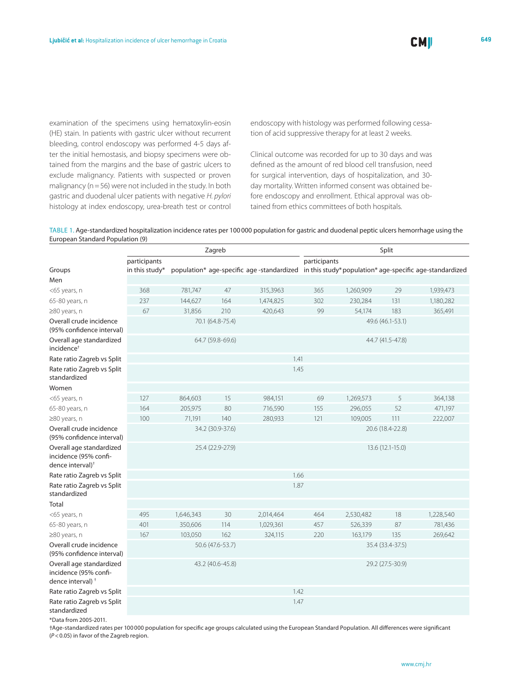examination of the specimens using hematoxylin-eosin (HE) stain. In patients with gastric ulcer without recurrent bleeding, control endoscopy was performed 4-5 days after the initial hemostasis, and biopsy specimens were obtained from the margins and the base of gastric ulcers to exclude malignancy. Patients with suspected or proven malignancy ( $n=56$ ) were not included in the study. In both gastric and duodenal ulcer patients with negative *H. pylori*  histology at index endoscopy, urea-breath test or control

endoscopy with histology was performed following cessation of acid suppressive therapy for at least 2 weeks.

Clinical outcome was recorded for up to 30 days and was defined as the amount of red blood cell transfusion, need for surgical intervention, days of hospitalization, and 30 day mortality. Written informed consent was obtained before endoscopy and enrollment. Ethical approval was obtained from ethics committees of both hospitals.

Table 1. Age-standardized hospitalization incidence rates per 100000 population for gastric and duodenal peptic ulcers hemorrhage using the European Standard Population (9)

|                                                                                   |                                |                  | Zagreb           | Split                                                                                              |                  |           |                  |           |  |
|-----------------------------------------------------------------------------------|--------------------------------|------------------|------------------|----------------------------------------------------------------------------------------------------|------------------|-----------|------------------|-----------|--|
| Groups                                                                            | participants<br>in this study* |                  |                  | population* age-specific age -standardized in this study*population* age-specific age-standardized | participants     |           |                  |           |  |
| Men                                                                               |                                |                  |                  |                                                                                                    |                  |           |                  |           |  |
| <65 years, n                                                                      | 368                            | 781,747          | 47               | 315,3963                                                                                           | 365              | 1,260,909 | 29               | 1,939,473 |  |
| 65-80 years, n                                                                    | 237                            | 144,627          | 164              | 1,474,825                                                                                          | 302              | 230,284   | 131              | 1,180,282 |  |
| ≥80 years, n                                                                      | 67                             | 31,856           | 210              | 420,643                                                                                            | 99               | 54,174    | 183              | 365,491   |  |
| Overall crude incidence<br>(95% confidence interval)                              |                                | 70.1 (64.8-75.4) |                  |                                                                                                    | 49.6 (46.1-53.1) |           |                  |           |  |
| Overall age standardized<br>incidence <sup>+</sup>                                |                                | 64.7 (59.8-69.6) |                  |                                                                                                    | 44.7 (41.5-47.8) |           |                  |           |  |
| Rate ratio Zagreb vs Split                                                        |                                |                  |                  | 1.41                                                                                               |                  |           |                  |           |  |
| Rate ratio Zagreb vs Split<br>standardized                                        |                                |                  |                  | 1.45                                                                                               |                  |           |                  |           |  |
| Women                                                                             |                                |                  |                  |                                                                                                    |                  |           |                  |           |  |
| <65 years, n                                                                      | 127                            | 864,603          | 15               | 984,151                                                                                            | 69               | 1,269,573 | 5                | 364,138   |  |
| 65-80 years, n                                                                    | 164                            | 205,975          | 80               | 716,590                                                                                            | 155              | 296,055   | 52               | 471,197   |  |
| ≥80 years, n                                                                      | 100                            | 71,191           | 140              | 280,933                                                                                            | 121              | 109,005   | 111              | 222,007   |  |
| Overall crude incidence<br>(95% confidence interval)                              |                                | 34.2 (30.9-37.6) |                  |                                                                                                    | 20.6 (18.4-22.8) |           |                  |           |  |
| Overall age standardized<br>incidence (95% confi-<br>dence interval) <sup>+</sup> |                                | 25.4 (22.9-27.9) |                  |                                                                                                    | 13.6 (12.1-15.0) |           |                  |           |  |
| Rate ratio Zagreb vs Split                                                        |                                |                  |                  | 1.66                                                                                               |                  |           |                  |           |  |
| Rate ratio Zagreb vs Split<br>standardized                                        |                                |                  |                  | 1.87                                                                                               |                  |           |                  |           |  |
| Total                                                                             |                                |                  |                  |                                                                                                    |                  |           |                  |           |  |
| <65 years, n                                                                      | 495                            | 1,646,343        | 30               | 2,014,464                                                                                          | 464              | 2,530,482 | 18               | 1,228,540 |  |
| 65-80 years, n                                                                    | 401                            | 350,606          | 114              | 1,029,361                                                                                          | 457              | 526,339   | 87               | 781,436   |  |
| ≥80 years, n                                                                      | 167                            | 103,050          | 162              | 324,115                                                                                            | 220              | 163,179   | 135              | 269,642   |  |
| Overall crude incidence<br>(95% confidence interval)                              |                                | 50.6 (47.6-53.7) |                  |                                                                                                    | 35.4 (33.4-37.5) |           |                  |           |  |
| Overall age standardized<br>incidence (95% confi-<br>dence interval) <sup>+</sup> |                                |                  | 43.2 (40.6-45.8) |                                                                                                    |                  |           | 29.2 (27.5-30.9) |           |  |
| Rate ratio Zagreb vs Split                                                        |                                |                  |                  | 1.42                                                                                               |                  |           |                  |           |  |
| Rate ratio Zagreb vs Split<br>standardized                                        |                                |                  |                  | 1.47                                                                                               |                  |           |                  |           |  |
| $*D_{11}$ $L_{12}$ $\rightarrow$ 0005 0011                                        |                                |                  |                  |                                                                                                    |                  |           |                  |           |  |

\*Data from 2005-2011.

†Age-standardized rates per 100000 population for specific age groups calculated using the European Standard Population. All differences were significant (*P*<0.05) in favor of the Zagreb region.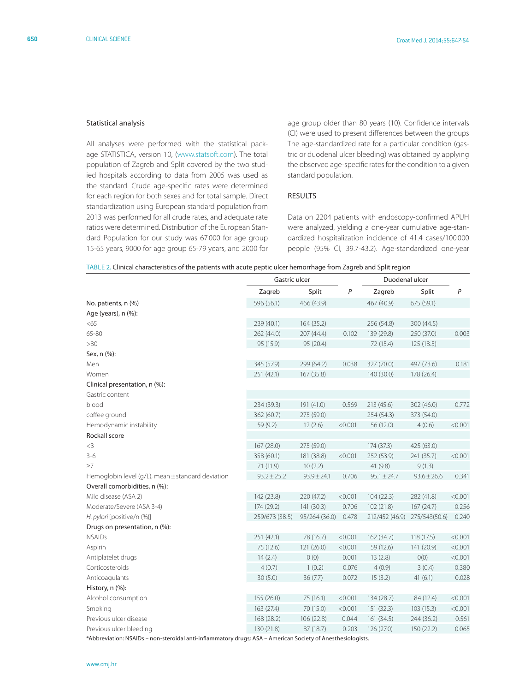### Statistical analysis

All analyses were performed with the statistical package STATISTICA, version 10, [\(www.statsoft.com](www.statsoft.com)). The total population of Zagreb and Split covered by the two studied hospitals according to data from 2005 was used as the standard. Crude age-specific rates were determined for each region for both sexes and for total sample. Direct standardization using European standard population from 2013 was performed for all crude rates, and adequate rate ratios were determined. Distribution of the European Standard Population for our study was 67 000 for age group 15-65 years, 9000 for age group 65-79 years, and 2000 for age group older than 80 years (10). Confidence intervals (CI) were used to present differences between the groups The age-standardized rate for a particular condition (gastric or duodenal ulcer bleeding) was obtained by applying the observed age-specific rates for the condition to a given standard population.

### Results

Data on 2204 patients with endoscopy-confirmed APUH were analyzed, yielding a one-year cumulative age-standardized hospitalization incidence of 41.4 cases/100 000 people (95% CI, 39.7-43.2). Age-standardized one-year

| TABLE 2. Clinical characteristics of the patients with acute peptic ulcer hemorrhage from Zagreb and Split region |
|-------------------------------------------------------------------------------------------------------------------|
|-------------------------------------------------------------------------------------------------------------------|

|                                                   | Gastric ulcer   |                 |                  | Duodenal ulcer  |                 |                  |  |
|---------------------------------------------------|-----------------|-----------------|------------------|-----------------|-----------------|------------------|--|
|                                                   | Zagreb          | Split           | $\boldsymbol{P}$ | Zagreb          | Split           | $\boldsymbol{P}$ |  |
| No. patients, n (%)                               | 596 (56.1)      | 466 (43.9)      |                  | 467 (40.9)      | 675 (59.1)      |                  |  |
| Age (years), n (%):                               |                 |                 |                  |                 |                 |                  |  |
| < 65                                              | 239 (40.1)      | 164 (35.2)      |                  | 256 (54.8)      | 300 (44.5)      |                  |  |
| 65-80                                             | 262 (44.0)      | 207 (44.4)      | 0.102            | 139 (29.8)      | 250 (37.0)      | 0.003            |  |
| > 80                                              | 95 (15.9)       | 95 (20.4)       |                  | 72 (15.4)       | 125(18.5)       |                  |  |
| Sex, n (%):                                       |                 |                 |                  |                 |                 |                  |  |
| Men                                               | 345 (57.9)      | 299 (64.2)      | 0.038            | 327 (70.0)      | 497 (73.6)      | 0.181            |  |
| Women                                             | 251 (42.1)      | 167 (35.8)      |                  | 140 (30.0)      | 178 (26.4)      |                  |  |
| Clinical presentation, n (%):                     |                 |                 |                  |                 |                 |                  |  |
| Gastric content                                   |                 |                 |                  |                 |                 |                  |  |
| blood                                             | 234 (39.3)      | 191 (41.0)      | 0.569            | 213 (45.6)      | 302 (46.0)      | 0.772            |  |
| coffee ground                                     | 362 (60.7)      | 275 (59.0)      |                  | 254 (54.3)      | 373 (54.0)      |                  |  |
| Hemodynamic instability                           | 59 (9.2)        | 12(2.6)         | < 0.001          | 56 (12.0)       | 4(0.6)          | < 0.001          |  |
| Rockall score                                     |                 |                 |                  |                 |                 |                  |  |
| $<$ 3                                             | 167 (28.0)      | 275 (59.0)      |                  | 174 (37.3)      | 425 (63.0)      |                  |  |
| $3 - 6$                                           | 358 (60.1)      | 181 (38.8)      | < 0.001          | 252 (53.9)      | 241 (35.7)      | < 0.001          |  |
| $\geq$ 7                                          | 71 (11.9)       | 10(2.2)         |                  | 41 (9.8)        | 9(1.3)          |                  |  |
| Hemoglobin level (g/L), mean ± standard deviation | $93.2 \pm 25.2$ | $93.9 \pm 24.1$ | 0.706            | $95.1 \pm 24.7$ | $93.6 \pm 26.6$ | 0.341            |  |
| Overall comorbidities, n (%):                     |                 |                 |                  |                 |                 |                  |  |
| Mild disease (ASA 2)                              | 142 (23.8)      | 220 (47.2)      | < 0.001          | 104(22.3)       | 282 (41.8)      | < 0.001          |  |
| Moderate/Severe (ASA 3-4)                         | 174 (29.2)      | 141 (30.3)      | 0.706            | 102 (21.8)      | 167 (24.7)      | 0.256            |  |
| H. pylori [positive/n (%)]                        | 259/673 (38.5)  | 95/264 (36.0)   | 0.478            | 212/452 (46.9)  | 275/543(50.6)   | 0.240            |  |
| Drugs on presentation, n (%):                     |                 |                 |                  |                 |                 |                  |  |
| <b>NSAIDs</b>                                     | 251 (42.1)      | 78 (16.7)       | < 0.001          | 162 (34.7)      | 118 (17.5)      | < 0.001          |  |
| Aspirin                                           | 75 (12.6)       | 121 (26.0)      | < 0.001          | 59 (12.6)       | 141 (20.9)      | < 0.001          |  |
| Antiplatelet drugs                                | 14(2.4)         | 0(0)            | 0.001            | 13(2.8)         | O(0)            | < 0.001          |  |
| Corticosteroids                                   | 4(0.7)          | 1(0.2)          | 0.076            | 4(0.9)          | 3(0.4)          | 0.380            |  |
| Anticoagulants                                    | 30(5.0)         | 36 (7.7)        | 0.072            | 15(3.2)         | 41(6.1)         | 0.028            |  |
| History, n (%):                                   |                 |                 |                  |                 |                 |                  |  |
| Alcohol consumption                               | 155 (26.0)      | 75 (16.1)       | < 0.001          | 134 (28.7)      | 84 (12.4)       | < 0.001          |  |
| Smoking                                           | 163 (27.4)      | 70 (15.0)       | < 0.001          | 151 (32.3)      | 103(15.3)       | < 0.001          |  |
| Previous ulcer disease                            | 168 (28.2)      | 106 (22.8)      | 0.044            | 161 (34.5)      | 244 (36.2)      | 0.561            |  |
| Previous ulcer bleeding                           | 130 (21.8)      | 87 (18.7)       | 0.203            | 126 (27.0)      | 150 (22.2)      | 0.065            |  |
| $*$ Alelene, desde ale MCAIDe                     |                 |                 |                  |                 |                 |                  |  |

\*Abbreviation: NSAIDs – non-steroidal anti-inflammatory drugs*;* ASA – American Society of Anesthesiologists.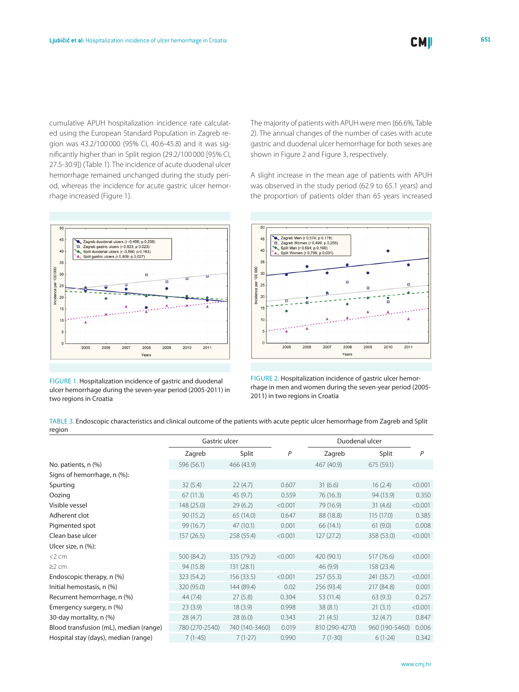cumulative APUH hospitalization incidence rate calculated using the European Standard Population in Zagreb region was 43.2/100 000 (95% CI, 40.6-45.8) and it was significantly higher than in Split region (29.2/100 000 [95% CI, 27.5-30.9]) (Table 1). The incidence of acute duodenal ulcer hemorrhage remained unchanged during the study period, whereas the incidence for acute gastric ulcer hemorrhage increased (Figure 1).



FIGURE 1. Hospitalization incidence of gastric and duodenal ulcer hemorrhage during the seven-year period (2005-2011) in two regions in Croatia

The majority of patients with APUH were men (66.6%, Table 2). The annual changes of the number of cases with acute gastric and duodenal ulcer hemorrhage for both sexes are shown in Figure 2 and Figure 3, respectively.

A slight increase in the mean age of patients with APUH was observed in the study period (62.9 to 65.1 years) and the proportion of patients older than 65 years increased



FIGURE 2. Hospitalization incidence of gastric ulcer hemorrhage in men and women during the seven-year period (2005- 2011) in two regions in Croatia

Table 3. Endoscopic characteristics and clinical outcome of the patients with acute peptic ulcer hemorrhage from Zagreb and Split region

|                                        | Gastric ulcer  |                |         | Duodenal ulcer |                |                |
|----------------------------------------|----------------|----------------|---------|----------------|----------------|----------------|
|                                        | Zagreb         | Split          | P       | Zagreb         | Split          | $\overline{P}$ |
| No. patients, n (%)                    | 596 (56.1)     | 466 (43.9)     |         | 467 (40.9)     | 675 (59.1)     |                |
| Signs of hemorrhage, n (%):            |                |                |         |                |                |                |
| Spurting                               | 32(5.4)        | 22(4.7)        | 0.607   | 31(6.6)        | 16(2.4)        | < 0.001        |
| Oozing                                 | 67(11.3)       | 45(9.7)        | 0.559   | 76 (16.3)      | 94 (13.9)      | 0.350          |
| Visible vessel                         | 148 (25.0)     | 29(6.2)        | < 0.001 | 79 (16.9)      | 31(4.6)        | < 0.001        |
| Adherent clot                          | 90(15.2)       | 65 (14.0)      | 0.647   | 88 (18.8)      | 115 (17.0)     | 0.385          |
| Pigmented spot                         | 99 (16.7)      | 47(10.1)       | 0.001   | 66(14.1)       | 61(9.0)        | 0.008          |
| Clean base ulcer                       | 157(26.5)      | 258 (55.4)     | < 0.001 | 127(27.2)      | 358 (53.0)     | < 0.001        |
| Ulcer size, n (%):                     |                |                |         |                |                |                |
| $<$ 2 cm                               | 500 (84.2)     | 335 (79.2)     | < 0.001 | 420 (90.1)     | 517 (76.6)     | < 0.001        |
| $\geq$ 2 cm                            | 94 (15.8)      | 131(28.1)      |         | 46(9.9)        | 158 (23.4)     |                |
| Endoscopic therapy, n (%)              | 323 (54.2)     | 156 (33.5)     | < 0.001 | 257 (55.3)     | 241 (35.7)     | < 0.001        |
| Initial hemostasis, n (%)              | 320 (95.0)     | 144 (89.4)     | 0.02    | 256 (93.4)     | 217 (84.8)     | 0.001          |
| Recurrent hemorrhage, n (%)            | 44(7.4)        | 27(5.8)        | 0.304   | 53 (11.4)      | 63(9.3)        | 0.257          |
| Emergency surgery, n (%)               | 23(3.9)        | 18(3.9)        | 0.998   | 38(8.1)        | 21(3.1)        | < 0.001        |
| 30-day mortality, n (%)                | 28(4.7)        | 28(6.0)        | 0.343   | 21(4.5)        | 32(4.7)        | 0.847          |
| Blood transfusion (mL), median (range) | 780 (270-2540) | 740 (140-3460) | 0.019   | 810 (290-4270) | 960 (190-5460) | 0.006          |
| Hospital stay (days), median (range)   | $7(1-45)$      | $7(1-27)$      | 0.990   | $7(1-30)$      | $6(1-24)$      | 0.342          |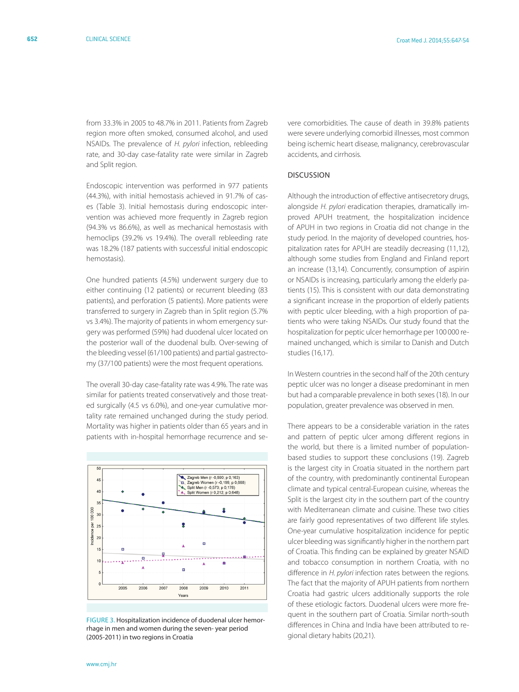from 33.3% in 2005 to 48.7% in 2011. Patients from Zagreb region more often smoked, consumed alcohol, and used NSAIDs. The prevalence of *H. pylori* infection, rebleeding rate, and 30-day case-fatality rate were similar in Zagreb and Split region.

Endoscopic intervention was performed in 977 patients (44.3%), with initial hemostasis achieved in 91.7% of cases (Table 3). Initial hemostasis during endoscopic intervention was achieved more frequently in Zagreb region (94.3% vs 86.6%), as well as mechanical hemostasis with hemoclips (39.2% vs 19.4%). The overall rebleeding rate was 18.2% (187 patients with successful initial endoscopic hemostasis).

One hundred patients (4.5%) underwent surgery due to either continuing (12 patients) or recurrent bleeding (83 patients), and perforation (5 patients). More patients were transferred to surgery in Zagreb than in Split region (5.7% vs 3.4%). The majority of patients in whom emergency surgery was performed (59%) had duodenal ulcer located on the posterior wall of the duodenal bulb. Over-sewing of the bleeding vessel (61/100 patients) and partial gastrectomy (37/100 patients) were the most frequent operations.

The overall 30-day case-fatality rate was 4.9%. The rate was similar for patients treated conservatively and those treated surgically (4.5 vs 6.0%), and one-year cumulative mortality rate remained unchanged during the study period. Mortality was higher in patients older than 65 years and in patients with in-hospital hemorrhage recurrence and se-



FIGURE 3. Hospitalization incidence of duodenal ulcer hemorrhage in men and women during the seven- year period (2005-2011) in two regions in Croatia

vere comorbidities. The cause of death in 39.8% patients were severe underlying comorbid illnesses, most common being ischemic heart disease, malignancy, cerebrovascular accidents, and cirrhosis.

# Discussion

Although the introduction of effective antisecretory drugs, alongside *H. pylori* eradication therapies, dramatically improved APUH treatment, the hospitalization incidence of APUH in two regions in Croatia did not change in the study period. In the majority of developed countries, hospitalization rates for APUH are steadily decreasing (11,12), although some studies from England and Finland report an increase (13,14). Concurrently, consumption of aspirin or NSAIDs is increasing, particularly among the elderly patients (15). This is consistent with our data demonstrating a significant increase in the proportion of elderly patients with peptic ulcer bleeding, with a high proportion of patients who were taking NSAIDs. Our study found that the hospitalization for peptic ulcer hemorrhage per 100 000 remained unchanged, which is similar to Danish and Dutch studies (16,17).

In Western countries in the second half of the 20th century peptic ulcer was no longer a disease predominant in men but had a comparable prevalence in both sexes (18). In our population, greater prevalence was observed in men.

There appears to be a considerable variation in the rates and pattern of peptic ulcer among different regions in the world, but there is a limited number of populationbased studies to support these conclusions (19). Zagreb is the largest city in Croatia situated in the northern part of the country, with predominantly continental European climate and typical central-European cuisine, whereas the Split is the largest city in the southern part of the country with Mediterranean climate and cuisine. These two cities are fairly good representatives of two different life styles. One-year cumulative hospitalization incidence for peptic ulcer bleeding was significantly higher in the northern part of Croatia. This finding can be explained by greater NSAID and tobacco consumption in northern Croatia, with no difference in *H. pylori* infection rates between the regions. The fact that the majority of APUH patients from northern Croatia had gastric ulcers additionally supports the role of these etiologic factors. Duodenal ulcers were more frequent in the southern part of Croatia. Similar north-south differences in China and India have been attributed to regional dietary habits (20,21).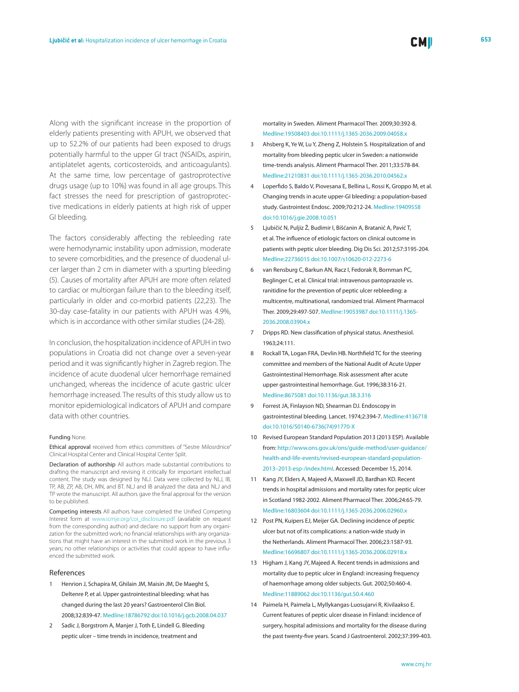Along with the significant increase in the proportion of elderly patients presenting with APUH, we observed that up to 52.2% of our patients had been exposed to drugs potentially harmful to the upper GI tract (NSAIDs, aspirin, antiplatelet agents, corticosteroids, and anticoagulants). At the same time, low percentage of gastroprotective drugs usage (up to 10%) was found in all age groups. This fact stresses the need for prescription of gastroprotective medications in elderly patients at high risk of upper GI bleeding.

The factors considerably affecting the rebleeding rate were hemodynamic instability upon admission, moderate to severe comorbidities, and the presence of duodenal ulcer larger than 2 cm in diameter with a spurting bleeding (5). Causes of mortality after APUH are more often related to cardiac or multiorgan failure than to the bleeding itself, particularly in older and co-morbid patients (22,23). The 30-day case-fatality in our patients with APUH was 4.9%, which is in accordance with other similar studies (24-28).

In conclusion, the hospitalization incidence of APUH in two populations in Croatia did not change over a seven-year period and it was significantly higher in Zagreb region. The incidence of acute duodenal ulcer hemorrhage remained unchanged, whereas the incidence of acute gastric ulcer hemorrhage increased. The results of this study allow us to monitor epidemiological indicators of APUH and compare data with other countries.

#### Funding None.

Ethical approval received from ethics committees of "Sestre Milosrdnice" Clinical Hospital Center and Clinical Hospital Center Split.

Declaration of authorship All authors made substantial contributions to drafting the manuscript and revising it critically for important intellectual content. The study was designed by NLJ. Data were collected by NLJ, IB, TP, AB, ZP, AB, DH, MN, and BT. NLJ and IB analyzed the data and NLJ and TP wrote the manuscript. All authors gave the final approval for the version to be published.

Competing interests All authors have completed the Unified Competing Interest form at [www.icmje.org/coi\\_disclosure.pdf](www.icmje.org/coi_disclosure.pdf) (available on request from the corresponding author) and declare: no support from any organization for the submitted work; no financial relationships with any organizations that might have an interest in the submitted work in the previous 3 years; no other relationships or activities that could appear to have influenced the submitted work.

### References

- 1 Henrion J, Schapira M, Ghilain JM, Maisin JM, De Maeght S, Deltenre P, et al. Upper gastrointestinal bleeding: what has changed during the last 20 years? Gastroenterol Clin Biol. 2008;32:839-47. [Medline:18786792](http://www.ncbi.nlm.nih.gov/entrez/query.fcgi?cmd=Retrieve&db=PubMed&list_uids=18786792&dopt=Abstract) [doi:10.1016/j.gcb.2008.04.037](http://dx.doi.org/10.1016/j.gcb.2008.04.037)
- 2 Sadic J, Borgstrom A, Manjer J, Toth E, Lindell G. Bleeding peptic ulcer – time trends in incidence, treatment and

mortality in Sweden. Aliment Pharmacol Ther. 2009;30:392-8[.](http://www.ncbi.nlm.nih.gov/entrez/query.fcgi?cmd=Retrieve&db=PubMed&list_uids=19508403&dopt=Abstract) [Medline:19508403](http://www.ncbi.nlm.nih.gov/entrez/query.fcgi?cmd=Retrieve&db=PubMed&list_uids=19508403&dopt=Abstract) [doi:10.1111/j.1365-2036.2009.04058.x](http://dx.doi.org/10.1111/j.1365-2036.2009.04058.x)

- 3 Ahsberg K, Ye W, Lu Y, Zheng Z, Holstein S. Hospitalization of and mortality from bleeding peptic ulcer in Sweden: a nationwide time-trends analysis. Aliment Pharmacol Ther. 2011;33:578-84. [Medline:21210831](http://www.ncbi.nlm.nih.gov/entrez/query.fcgi?cmd=Retrieve&db=PubMed&list_uids=21210831&dopt=Abstract) [doi:10.1111/j.1365-2036.2010.04562.x](http://dx.doi.org/10.1111/j.1365-2036.2010.04562.x)
- 4 Loperfido S, Baldo V, Piovesana E, Bellina L, Rossi K, Groppo M, et al. Changing trends in acute upper-GI bleeding: a population-based study. Gastrointest Endosc. 2009;70:212-24[. Medline:19409558](http://www.ncbi.nlm.nih.gov/entrez/query.fcgi?cmd=Retrieve&db=PubMed&list_uids=19409558&dopt=Abstract) [doi:10.1016/j.gie.2008.10.051](http://dx.doi.org/10.1016/j.gie.2008.10.051)
- 5 Ljubičić N, Puljiz Ž, Budimir I, Bišćanin A, Bratanić A, Pavić T, et al. The influence of etiologic factors on clinical outcome in patients with peptic ulcer bleeding. Dig Dis Sci. 2012;57:3195-204. [Medline:22736015](http://www.ncbi.nlm.nih.gov/entrez/query.fcgi?cmd=Retrieve&db=PubMed&list_uids=22736015&dopt=Abstract) [doi:10.1007/s10620-012-2273-6](http://dx.doi.org/10.1007/s10620-012-2273-6)
- 6 van Rensburg C, Barkun AN, Racz I, Fedorak R, Bornman PC, Beglinger C, et al. Clinical trial: intravenous pantoprazole vs. ranitidine for the prevention of peptic ulcer rebleeding: a multicentre, multinational, randomized trial. Aliment Pharmacol Ther. 2009;29:497-507. [Medline:19053987](http://www.ncbi.nlm.nih.gov/entrez/query.fcgi?cmd=Retrieve&db=PubMed&list_uids=19053987&dopt=Abstract) [doi:10.1111/j.1365-](http://dx.doi.org/10.1111/j.1365-2036.2008.03904.x) [2036.2008.03904.x](http://dx.doi.org/10.1111/j.1365-2036.2008.03904.x)
- 7 Dripps RD. New classification of physical status. Anesthesiol. 1963;24:111.
- 8 Rockall TA, Logan FRA, Devlin HB. Northfield TC for the steering committee and members of the National Audit of Acute Upper Gastrointestinal Hemorrhage. Risk assessment after acute upper gastrointestinal hemorrhage. Gut. 1996;38:316-21[.](http://www.ncbi.nlm.nih.gov/entrez/query.fcgi?cmd=Retrieve&db=PubMed&list_uids=8675081&dopt=Abstract) [Medline:8675081](http://www.ncbi.nlm.nih.gov/entrez/query.fcgi?cmd=Retrieve&db=PubMed&list_uids=8675081&dopt=Abstract) [doi:10.1136/gut.38.3.316](http://dx.doi.org/10.1136/gut.38.3.316)
- 9 Forrest JA, Finlayson ND, Shearman DJ. Endoscopy in gastrointestinal bleeding. Lancet. 1974;2:394-7. [Medline:4136718](http://www.ncbi.nlm.nih.gov/entrez/query.fcgi?cmd=Retrieve&db=PubMed&list_uids=4136718&dopt=Abstract) [doi:10.1016/S0140-6736\(74\)91770-X](http://dx.doi.org/10.1016/S0140-6736(74)91770-X)
- 10 Revised European Standard Population 2013 (2013 ESP). Available from: [http://www.ons.gov.uk/ons/guide-method/user-guidance/](http://www.ons.gov.uk/ons/guide-method/user-guidance/health-and-life-events/revised-european-standard-population-2013-2013-esp-/index.html) [health-and-life-events/revised-european-standard-population-](http://www.ons.gov.uk/ons/guide-method/user-guidance/health-and-life-events/revised-european-standard-population-2013-2013-esp-/index.html)[2013–2013-esp-/index.html](http://www.ons.gov.uk/ons/guide-method/user-guidance/health-and-life-events/revised-european-standard-population-2013-2013-esp-/index.html). Accessed: December 15, 2014.
- 11 Kang JY, Elders A, Majeed A, Maxwell JD, Bardhan KD. Recent trends in hospital admissions and mortality rates for peptic ulcer in Scotland 1982-2002. Aliment Pharmacol Ther. 2006;24:65-79. [Medline:16803604](http://www.ncbi.nlm.nih.gov/entrez/query.fcgi?cmd=Retrieve&db=PubMed&list_uids=16803604&dopt=Abstract) [doi:10.1111/j.1365-2036.2006.02960.x](http://dx.doi.org/10.1111/j.1365-2036.2006.02960.x)
- 12 Post PN, Kuipers EJ, Meijer GA. Declining incidence of peptic ulcer but not of its complications: a nation-wide study in the Netherlands. Aliment Pharmacol Ther. 2006;23:1587-93. [Medline:16696807](http://www.ncbi.nlm.nih.gov/entrez/query.fcgi?cmd=Retrieve&db=PubMed&list_uids=16696807&dopt=Abstract) [doi:10.1111/j.1365-2036.2006.02918.x](http://dx.doi.org/10.1111/j.1365-2036.2006.02918.x)
- 13 Higham J, Kang JY, Majeed A. Recent trends in admissions and mortality due to peptic ulcer in England: increasing frequency of haemorrhage among older subjects. Gut. 2002;50:460-4[.](http://www.ncbi.nlm.nih.gov/entrez/query.fcgi?cmd=Retrieve&db=PubMed&list_uids=11889062&dopt=Abstract) [Medline:11889062](http://www.ncbi.nlm.nih.gov/entrez/query.fcgi?cmd=Retrieve&db=PubMed&list_uids=11889062&dopt=Abstract) [doi:10.1136/gut.50.4.460](http://dx.doi.org/10.1136/gut.50.4.460)
- 14 Paimela H, Paimela L, Myllykangas-Luosujarvi R, Kivilaakso E. Current features of peptic ulcer disease in Finland: incidence of surgery, hospital admissions and mortality for the disease during the past twenty-five years. Scand J Gastroenterol. 2002;37:399-403[.](http://www.ncbi.nlm.nih.gov/entrez/query.fcgi?cmd=Retrieve&db=PubMed&list_uids=11989829&dopt=Abstract)